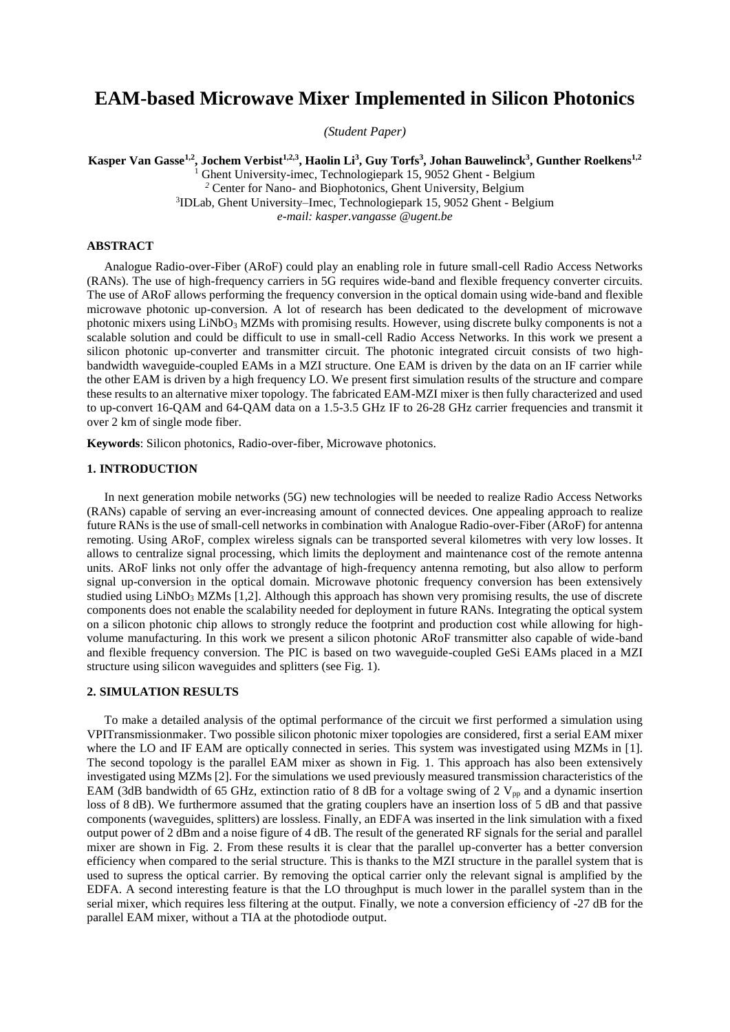# **EAM-based Microwave Mixer Implemented in Silicon Photonics**

*(Student Paper)*

**Kasper Van Gasse1,2, Jochem Verbist1,2,3, Haolin Li<sup>3</sup> , Guy Torfs<sup>3</sup> , Johan Bauwelinck<sup>3</sup> , Gunther Roelkens1,2**

<sup>1</sup> Ghent University-imec*,* Technologiepark 15, 9052 Ghent - Belgium

*<sup>2</sup>* Center for Nano- and Biophotonics, Ghent University, Belgium

3 IDLab, Ghent University–Imec, Technologiepark 15, 9052 Ghent - Belgium

*e-mail: kasper.vangasse @ugent.be*

## **ABSTRACT**

Analogue Radio-over-Fiber (ARoF) could play an enabling role in future small-cell Radio Access Networks (RANs). The use of high-frequency carriers in 5G requires wide-band and flexible frequency converter circuits. The use of ARoF allows performing the frequency conversion in the optical domain using wide-band and flexible microwave photonic up-conversion. A lot of research has been dedicated to the development of microwave photonic mixers using LiNbO<sub>3</sub> MZMs with promising results. However, using discrete bulky components is not a scalable solution and could be difficult to use in small-cell Radio Access Networks. In this work we present a silicon photonic up-converter and transmitter circuit. The photonic integrated circuit consists of two highbandwidth waveguide-coupled EAMs in a MZI structure. One EAM is driven by the data on an IF carrier while the other EAM is driven by a high frequency LO. We present first simulation results of the structure and compare these results to an alternative mixer topology. The fabricated EAM-MZI mixer is then fully characterized and used to up-convert 16-QAM and 64-QAM data on a 1.5-3.5 GHz IF to 26-28 GHz carrier frequencies and transmit it over 2 km of single mode fiber.

**Keywords**: Silicon photonics, Radio-over-fiber, Microwave photonics.

# **1. INTRODUCTION**

In next generation mobile networks (5G) new technologies will be needed to realize Radio Access Networks (RANs) capable of serving an ever-increasing amount of connected devices. One appealing approach to realize future RANs is the use of small-cell networks in combination with Analogue Radio-over-Fiber (ARoF) for antenna remoting. Using ARoF, complex wireless signals can be transported several kilometres with very low losses. It allows to centralize signal processing, which limits the deployment and maintenance cost of the remote antenna units. ARoF links not only offer the advantage of high-frequency antenna remoting, but also allow to perform signal up-conversion in the optical domain. Microwave photonic frequency conversion has been extensively studied using  $LiNbO<sub>3</sub>$  MZMs [1,2]. Although this approach has shown very promising results, the use of discrete components does not enable the scalability needed for deployment in future RANs. Integrating the optical system on a silicon photonic chip allows to strongly reduce the footprint and production cost while allowing for highvolume manufacturing. In this work we present a silicon photonic ARoF transmitter also capable of wide-band and flexible frequency conversion. The PIC is based on two waveguide-coupled GeSi EAMs placed in a MZI structure using silicon waveguides and splitters (see Fig. 1).

# **2. SIMULATION RESULTS**

To make a detailed analysis of the optimal performance of the circuit we first performed a simulation using VPITransmissionmaker. Two possible silicon photonic mixer topologies are considered, first a serial EAM mixer where the LO and IF EAM are optically connected in series. This system was investigated using MZMs in [1]. The second topology is the parallel EAM mixer as shown in Fig. 1. This approach has also been extensively investigated using MZMs [2]. For the simulations we used previously measured transmission characteristics of the EAM (3dB bandwidth of 65 GHz, extinction ratio of 8 dB for a voltage swing of 2  $V_{\text{pp}}$  and a dynamic insertion loss of 8 dB). We furthermore assumed that the grating couplers have an insertion loss of 5 dB and that passive components (waveguides, splitters) are lossless. Finally, an EDFA was inserted in the link simulation with a fixed output power of 2 dBm and a noise figure of 4 dB. The result of the generated RF signals for the serial and parallel mixer are shown in Fig. 2. From these results it is clear that the parallel up-converter has a better conversion efficiency when compared to the serial structure. This is thanks to the MZI structure in the parallel system that is used to supress the optical carrier. By removing the optical carrier only the relevant signal is amplified by the EDFA. A second interesting feature is that the LO throughput is much lower in the parallel system than in the serial mixer, which requires less filtering at the output. Finally, we note a conversion efficiency of -27 dB for the parallel EAM mixer, without a TIA at the photodiode output.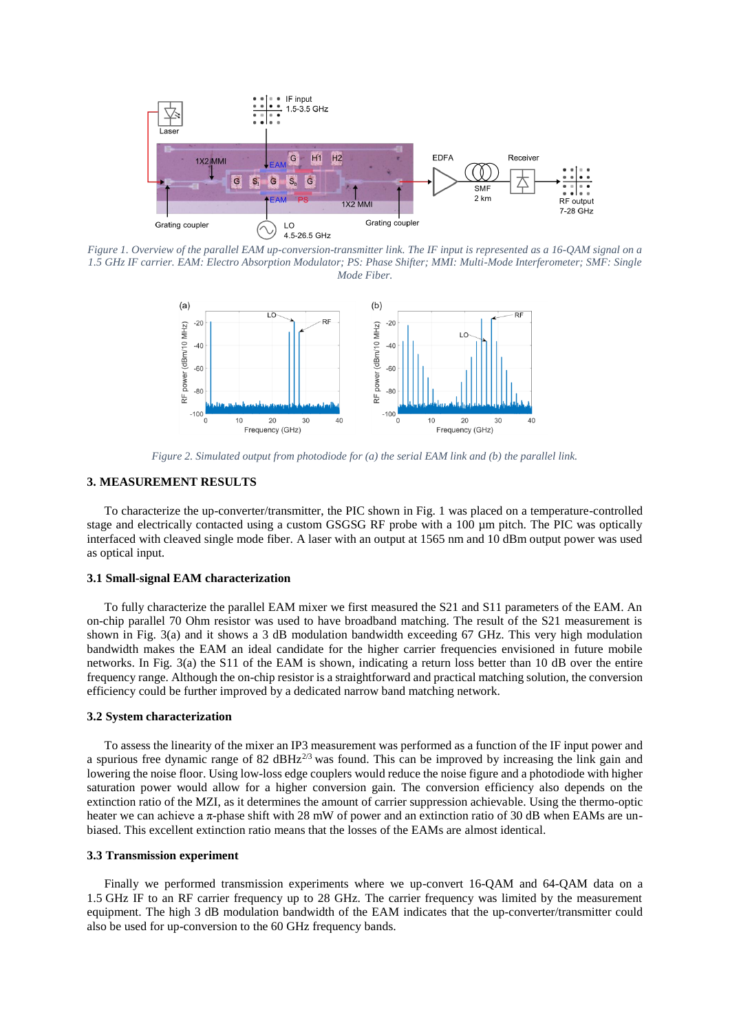

*Figure 1. Overview of the parallel EAM up-conversion-transmitter link. The IF input is represented as a 16-QAM signal on a 1.5 GHz IF carrier. EAM: Electro Absorption Modulator; PS: Phase Shifter; MMI: Multi-Mode Interferometer; SMF: Single Mode Fiber.*



*Figure 2. Simulated output from photodiode for (a) the serial EAM link and (b) the parallel link.*

# **3. MEASUREMENT RESULTS**

To characterize the up-converter/transmitter, the PIC shown in Fig. 1 was placed on a temperature-controlled stage and electrically contacted using a custom GSGSG RF probe with a 100  $\mu$ m pitch. The PIC was optically interfaced with cleaved single mode fiber. A laser with an output at 1565 nm and 10 dBm output power was used as optical input.

#### **3.1 Small-signal EAM characterization**

To fully characterize the parallel EAM mixer we first measured the S21 and S11 parameters of the EAM. An on-chip parallel 70 Ohm resistor was used to have broadband matching. The result of the S21 measurement is shown in Fig. 3(a) and it shows a 3 dB modulation bandwidth exceeding 67 GHz. This very high modulation bandwidth makes the EAM an ideal candidate for the higher carrier frequencies envisioned in future mobile networks. In Fig. 3(a) the S11 of the EAM is shown, indicating a return loss better than 10 dB over the entire frequency range. Although the on-chip resistor is a straightforward and practical matching solution, the conversion efficiency could be further improved by a dedicated narrow band matching network.

## **3.2 System characterization**

To assess the linearity of the mixer an IP3 measurement was performed as a function of the IF input power and a spurious free dynamic range of 82 dBHz<sup>2/3</sup> was found. This can be improved by increasing the link gain and lowering the noise floor. Using low-loss edge couplers would reduce the noise figure and a photodiode with higher saturation power would allow for a higher conversion gain. The conversion efficiency also depends on the extinction ratio of the MZI, as it determines the amount of carrier suppression achievable. Using the thermo-optic heater we can achieve a π-phase shift with 28 mW of power and an extinction ratio of 30 dB when EAMs are unbiased. This excellent extinction ratio means that the losses of the EAMs are almost identical.

#### **3.3 Transmission experiment**

Finally we performed transmission experiments where we up-convert 16-QAM and 64-QAM data on a 1.5 GHz IF to an RF carrier frequency up to 28 GHz. The carrier frequency was limited by the measurement equipment. The high 3 dB modulation bandwidth of the EAM indicates that the up-converter/transmitter could also be used for up-conversion to the 60 GHz frequency bands.